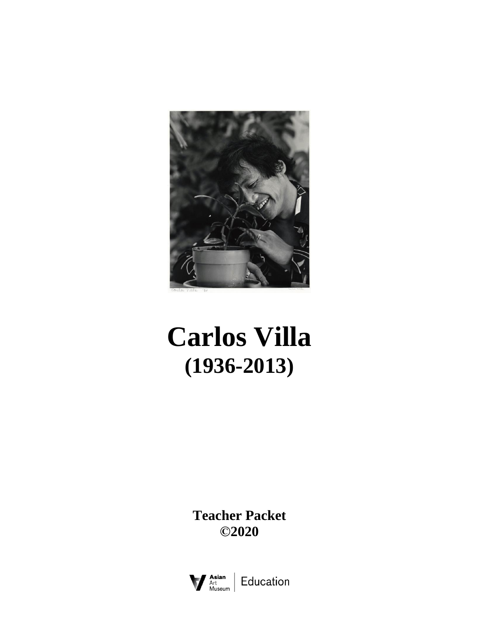

## **Carlos Villa (1936-2013)**

**Teacher Packet ©️2020**

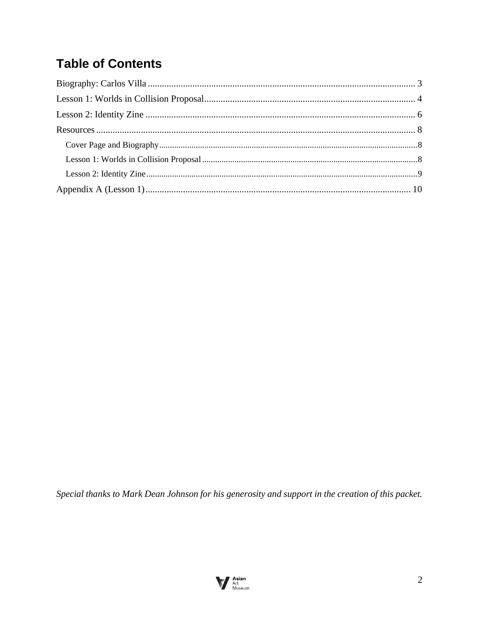## **Table of Contents**

Special thanks to Mark Dean Johnson for his generosity and support in the creation of this packet.

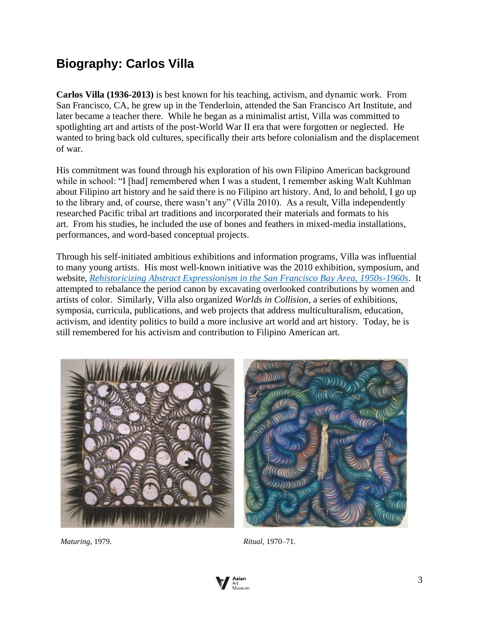### <span id="page-2-0"></span>**Biography: Carlos Villa**

**Carlos Villa (1936-2013)** is best known for his teaching, activism, and dynamic work. From San Francisco, CA, he grew up in the Tenderloin, attended the San Francisco Art Institute, and later became a teacher there. While he began as a minimalist artist, Villa was committed to spotlighting art and artists of the post-World War II era that were forgotten or neglected. He wanted to bring back old cultures, specifically their arts before colonialism and the displacement of war.

His commitment was found through his exploration of his own Filipino American background while in school: "I [had] remembered when I was a student, I remember asking Walt Kuhlman about Filipino art history and he said there is no Filipino art history. And, lo and behold, I go up to the library and, of course, there wasn't any" (Villa 2010). As a result, Villa independently researched Pacific tribal art traditions and incorporated their materials and formats to his art. From his studies, he included the use of bones and feathers in mixed-media installations, performances, and word-based conceptual projects.

Through his self-initiated ambitious exhibitions and information programs, Villa was influential to many young artists. His most well-known initiative was the 2010 exhibition, symposium, and website, *[Rehistoricizing Abstract Expressionism in the San Francisco Bay Area, 1950s-1960s](http://rehistoricizing.org/)*. It attempted to rebalance the period canon by excavating overlooked contributions by women and artists of color. Similarly, Villa also organized *Worlds in Collision*, a series of exhibitions, symposia, curricula, publications, and web projects that address multiculturalism, education, activism, and identity politics to build a more inclusive art world and art history. Today, he is still remembered for his activism and contribution to Filipino American art.



*Maturing*, 1979. *Ritual*, 1970–71.

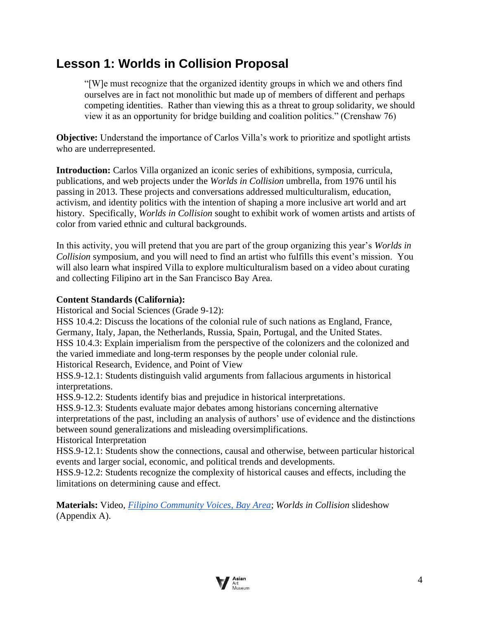### <span id="page-3-0"></span>**Lesson 1: Worlds in Collision Proposal**

"[W]e must recognize that the organized identity groups in which we and others find ourselves are in fact not monolithic but made up of members of different and perhaps competing identities. Rather than viewing this as a threat to group solidarity, we should view it as an opportunity for bridge building and coalition politics." (Crenshaw 76)

**Objective:** Understand the importance of Carlos Villa's work to prioritize and spotlight artists who are underrepresented.

**Introduction:** Carlos Villa organized an iconic series of exhibitions, symposia, curricula, publications, and web projects under the *Worlds in Collision* umbrella, from 1976 until his passing in 2013. These projects and conversations addressed multiculturalism, education, activism, and identity politics with the intention of shaping a more inclusive art world and art history. Specifically, *Worlds in Collision* sought to exhibit work of women artists and artists of color from varied ethnic and cultural backgrounds.

In this activity, you will pretend that you are part of the group organizing this year's *Worlds in Collision* symposium, and you will need to find an artist who fulfills this event's mission. You will also learn what inspired Villa to explore multiculturalism based on a video about curating and collecting Filipino art in the San Francisco Bay Area.

#### **Content Standards (California):**

Historical and Social Sciences (Grade 9-12):

HSS 10.4.2: Discuss the locations of the colonial rule of such nations as England, France, Germany, Italy, Japan, the Netherlands, Russia, Spain, Portugal, and the United States. HSS 10.4.3: Explain imperialism from the perspective of the colonizers and the colonized and the varied immediate and long-term responses by the people under colonial rule.

Historical Research, Evidence, and Point of View

HSS.9-12.1: Students distinguish valid arguments from fallacious arguments in historical interpretations.

HSS.9-12.2: Students identify bias and prejudice in historical interpretations.

HSS.9-12.3: Students evaluate major debates among historians concerning alternative interpretations of the past, including an analysis of authors' use of evidence and the distinctions between sound generalizations and misleading oversimplifications.

Historical Interpretation

HSS.9-12.1: Students show the connections, causal and otherwise, between particular historical events and larger social, economic, and political trends and developments.

HSS.9-12.2: Students recognize the complexity of historical causes and effects, including the limitations on determining cause and effect.

**Materials:** Video, *[Filipino Community Voices, Bay Area](https://education.asianart.org/resources/filipino-community-voices-bay-area/)*; *Worlds in Collision* slideshow (Appendix A).

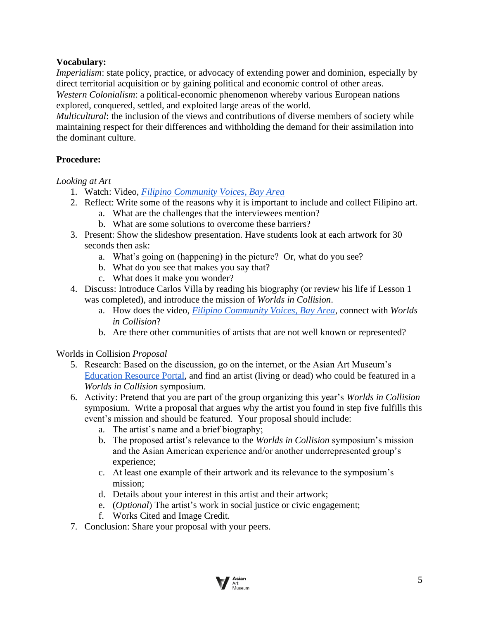#### **Vocabulary:**

*Imperialism:* state policy, practice, or advocacy of extending power and dominion, especially by direct territorial acquisition or by gaining political and economic control of other areas.

*Western Colonialism*: a political-economic phenomenon whereby various European nations explored, conquered, settled, and exploited large areas of the world.

*Multicultural*: the inclusion of the views and contributions of diverse members of society while maintaining respect for their differences and withholding the demand for their assimilation into the dominant culture.

#### **Procedure:**

*Looking at Art*

- 1. Watch: Video, *[Filipino Community Voices, Bay Area](https://education.asianart.org/resources/filipino-community-voices-bay-area/)*
- 2. Reflect: Write some of the reasons why it is important to include and collect Filipino art.
	- a. What are the challenges that the interviewees mention?
	- b. What are some solutions to overcome these barriers?
- 3. Present: Show the slideshow presentation. Have students look at each artwork for 30 seconds then ask:
	- a. What's going on (happening) in the picture? Or, what do you see?
	- b. What do you see that makes you say that?
	- c. What does it make you wonder?
- 4. Discuss: Introduce Carlos Villa by reading his biography (or review his life if Lesson 1 was completed), and introduce the mission of *Worlds in Collision*.
	- a. How does the video, *[Filipino Community Voices, Bay Area](https://education.asianart.org/resources/filipino-community-voices-bay-area/)*, connect with *Worlds in Collision*?
	- b. Are there other communities of artists that are not well known or represented?

Worlds in Collision *Proposal*

- 5. Research: Based on the discussion, go on the internet, or the Asian Art Museum's [Education Resource Portal,](https://education.asianart.org/) and find an artist (living or dead) who could be featured in a *Worlds in Collision* symposium.
- 6. Activity: Pretend that you are part of the group organizing this year's *Worlds in Collision* symposium. Write a proposal that argues why the artist you found in step five fulfills this event's mission and should be featured. Your proposal should include:
	- a. The artist's name and a brief biography;
	- b. The proposed artist's relevance to the *Worlds in Collision* symposium's mission and the Asian American experience and/or another underrepresented group's experience;
	- c. At least one example of their artwork and its relevance to the symposium's mission;
	- d. Details about your interest in this artist and their artwork;
	- e. (*Optional*) The artist's work in social justice or civic engagement;
	- f. Works Cited and Image Credit.
- 7. Conclusion: Share your proposal with your peers.

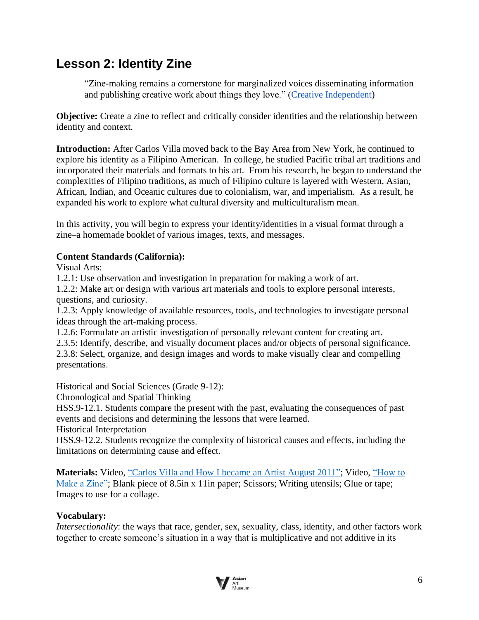### <span id="page-5-0"></span>**Lesson 2: Identity Zine**

"Zine-making remains a cornerstone for marginalized voices disseminating information and publishing creative work about things they love." [\(Creative Independent\)](https://thecreativeindependent.com/guides/how-to-make-a-zine/)

**Objective:** Create a zine to reflect and critically consider identities and the relationship between identity and context.

**Introduction:** After Carlos Villa moved back to the Bay Area from New York, he continued to explore his identity as a Filipino American. In college, he studied Pacific tribal art traditions and incorporated their materials and formats to his art. From his research, he began to understand the complexities of Filipino traditions, as much of Filipino culture is layered with Western, Asian, African, Indian, and Oceanic cultures due to colonialism, war, and imperialism. As a result, he expanded his work to explore what cultural diversity and multiculturalism mean.

In this activity, you will begin to express your identity/identities in a visual format through a zine–a homemade booklet of various images, texts, and messages.

#### **Content Standards (California):**

Visual Arts:

1.2.1: Use observation and investigation in preparation for making a work of art.

1.2.2: Make art or design with various art materials and tools to explore personal interests, questions, and curiosity.

1.2.3: Apply knowledge of available resources, tools, and technologies to investigate personal ideas through the art-making process.

1.2.6: Formulate an artistic investigation of personally relevant content for creating art.

2.3.5: Identify, describe, and visually document places and/or objects of personal significance. 2.3.8: Select, organize, and design images and words to make visually clear and compelling presentations.

Historical and Social Sciences (Grade 9-12):

Chronological and Spatial Thinking

HSS.9-12.1. Students compare the present with the past, evaluating the consequences of past events and decisions and determining the lessons that were learned.

Historical Interpretation

HSS.9-12.2. Students recognize the complexity of historical causes and effects, including the limitations on determining cause and effect.

**Materials:** Video, ["Carlos Villa and How I became an Artist August 2011";](https://www.youtube.com/watch?v=nTWsQK47JOA) Video, ["How to](https://www.instagram.com/tv/B-deOcZBW-2/?igshid=5vyvx0cvsm7o)  [Make a Zine";](https://www.instagram.com/tv/B-deOcZBW-2/?igshid=5vyvx0cvsm7o) Blank piece of 8.5in x 11in paper; Scissors; Writing utensils; Glue or tape; Images to use for a collage.

#### **Vocabulary:**

*Intersectionality*: the ways that race, gender, sex, sexuality, class, identity, and other factors work together to create someone's situation in a way that is multiplicative and not additive in its

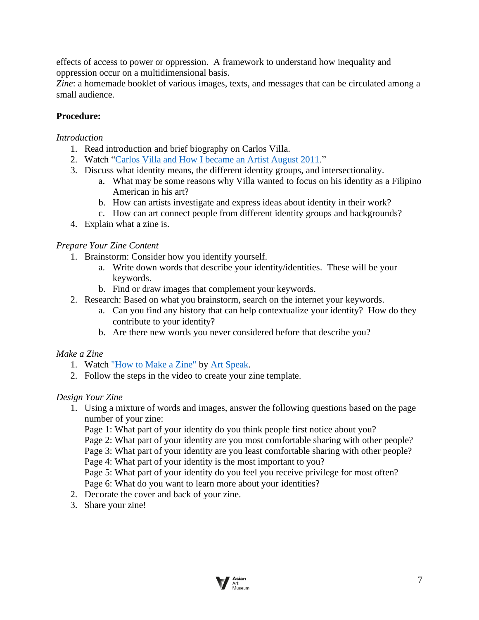effects of access to power or oppression. A framework to understand how inequality and oppression occur on a multidimensional basis.

*Zine*: a homemade booklet of various images, texts, and messages that can be circulated among a small audience.

#### **Procedure:**

#### *Introduction*

- 1. Read introduction and brief biography on Carlos Villa.
- 2. Watch ["Carlos Villa and How I became an Artist August 2011.](https://www.youtube.com/watch?v=nTWsQK47JOA)"
- 3. Discuss what identity means, the different identity groups, and intersectionality.
	- a. What may be some reasons why Villa wanted to focus on his identity as a Filipino American in his art?
	- b. How can artists investigate and express ideas about identity in their work?
	- c. How can art connect people from different identity groups and backgrounds?
- 4. Explain what a zine is.

#### *Prepare Your Zine Content*

- 1. Brainstorm: Consider how you identify yourself.
	- a. Write down words that describe your identity/identities. These will be your keywords.
	- b. Find or draw images that complement your keywords.
- 2. Research: Based on what you brainstorm, search on the internet your keywords.
	- a. Can you find any history that can help contextualize your identity? How do they contribute to your identity?
	- b. Are there new words you never considered before that describe you?

#### *Make a Zine*

- 1. Watch ["How to Make a Zine"](https://www.instagram.com/tv/B-deOcZBW-2/?igshid=5vyvx0cvsm7o) by [Art Speak.](https://about.asianart.org/art-speak/)
- 2. Follow the steps in the video to create your zine template.

#### *Design Your Zine*

- 1. Using a mixture of words and images, answer the following questions based on the page number of your zine:
	- Page 1: What part of your identity do you think people first notice about you?
	- Page 2: What part of your identity are you most comfortable sharing with other people?
	- Page 3: What part of your identity are you least comfortable sharing with other people?
	- Page 4: What part of your identity is the most important to you?
	- Page 5: What part of your identity do you feel you receive privilege for most often? Page 6: What do you want to learn more about your identities?
- 2. Decorate the cover and back of your zine.
- 3. Share your zine!

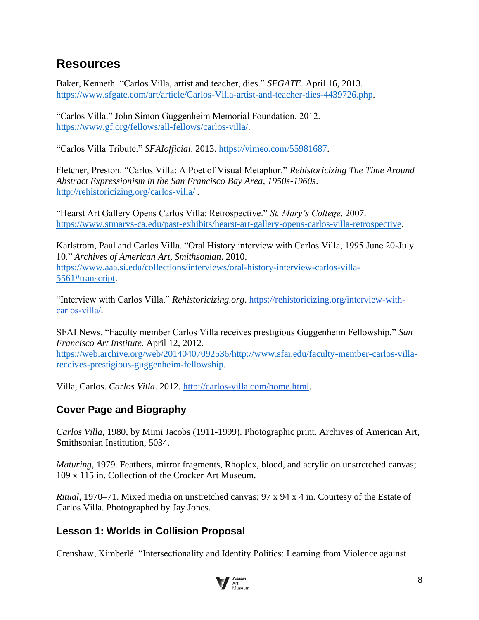### <span id="page-7-0"></span>**Resources**

Baker, Kenneth. "Carlos Villa, artist and teacher, dies." *SFGATE*. April 16, 2013. [https://www.sfgate.com/art/article/Carlos-Villa-artist-and-teacher-dies-4439726.php.](https://www.sfgate.com/art/article/Carlos-Villa-artist-and-teacher-dies-4439726.php)

"Carlos Villa." John Simon Guggenheim Memorial Foundation. 2012. [https://www.gf.org/fellows/all-fellows/carlos-villa/.](https://www.gf.org/fellows/all-fellows/carlos-villa/)

"Carlos Villa Tribute." *SFAIofficial*. 2013. [https://vimeo.com/55981687.](https://vimeo.com/55981687)

Fletcher, Preston. "Carlos Villa: A Poet of Visual Metaphor." *Rehistoricizing The Time Around Abstract Expressionism in the San Francisco Bay Area, 1950s-1960s*. <http://rehistoricizing.org/carlos-villa/> .

"Hearst Art Gallery Opens Carlos Villa: Retrospective." *St. Mary's College*. 2007. [https://www.stmarys-ca.edu/past-exhibits/hearst-art-gallery-opens-carlos-villa-retrospective.](https://www.stmarys-ca.edu/past-exhibits/hearst-art-gallery-opens-carlos-villa-retrospective)

Karlstrom, Paul and Carlos Villa. "Oral History interview with Carlos Villa, 1995 June 20-July 10." *Archives of American Art, Smithsonian*. 2010. [https://www.aaa.si.edu/collections/interviews/oral-history-interview-carlos-villa-](https://www.aaa.si.edu/collections/interviews/oral-history-interview-carlos-villa-5561#transcript)[5561#transcript.](https://www.aaa.si.edu/collections/interviews/oral-history-interview-carlos-villa-5561#transcript)

"Interview with Carlos Villa." *Rehistoricizing.org*. [https://rehistoricizing.org/interview-with](https://rehistoricizing.org/interview-with-carlos-villa/)[carlos-villa/.](https://rehistoricizing.org/interview-with-carlos-villa/)

SFAI News. "Faculty member Carlos Villa receives prestigious Guggenheim Fellowship." *San Francisco Art Institute*. April 12, 2012.

[https://web.archive.org/web/20140407092536/http://www.sfai.edu/faculty-member-carlos-villa](https://web.archive.org/web/20140407092536/http:/www.sfai.edu/faculty-member-carlos-villa-receives-prestigious-guggenheim-fellowship)[receives-prestigious-guggenheim-fellowship.](https://web.archive.org/web/20140407092536/http:/www.sfai.edu/faculty-member-carlos-villa-receives-prestigious-guggenheim-fellowship)

Villa, Carlos. *Carlos Villa*. 2012. [http://carlos-villa.com/home.html.](http://carlos-villa.com/home.html)

#### <span id="page-7-1"></span>**Cover Page and Biography**

*Carlos Villa*, 1980, by Mimi Jacobs (1911-1999). Photographic print. Archives of American Art, Smithsonian Institution, 5034.

*Maturing*, 1979. Feathers, mirror fragments, Rhoplex, blood, and acrylic on unstretched canvas; 109 x 115 in. Collection of the Crocker Art Museum.

*Ritual*, 1970–71. Mixed media on unstretched canvas; 97 x 94 x 4 in. Courtesy of the Estate of Carlos Villa. Photographed by Jay Jones.

#### <span id="page-7-2"></span>**Lesson 1: Worlds in Collision Proposal**

Crenshaw, Kimberlé. "Intersectionality and Identity Politics: Learning from Violence against

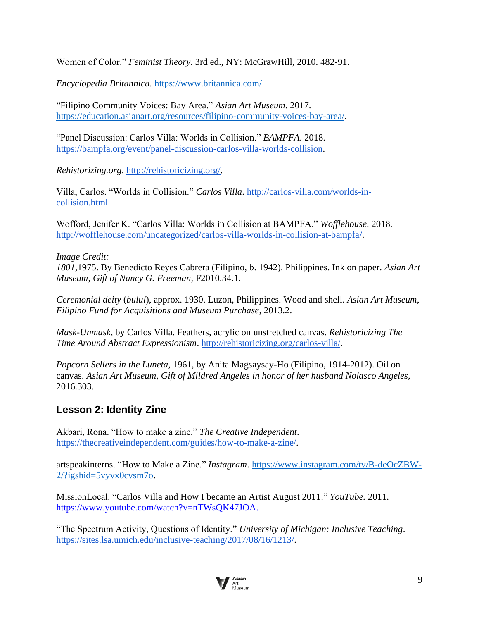Women of Color." *Feminist Theory*. 3rd ed., NY: McGrawHill, 2010. 482-91.

*Encyclopedia Britannica.* [https://www.britannica.com/.](https://www.britannica.com/)

"Filipino Community Voices: Bay Area." *Asian Art Museum*. 2017. [https://education.asianart.org/resources/filipino-community-voices-bay-area/.](https://education.asianart.org/resources/filipino-community-voices-bay-area/)

"Panel Discussion: Carlos Villa: Worlds in Collision." *BAMPFA*. 2018. [https://bampfa.org/event/panel-discussion-carlos-villa-worlds-collision.](https://bampfa.org/event/panel-discussion-carlos-villa-worlds-collision)

*Rehistorizing.org*. [http://rehistoricizing.org/.](http://rehistoricizing.org/)

Villa, Carlos. "Worlds in Collision." *Carlos Villa*. [http://carlos-villa.com/worlds-in](http://carlos-villa.com/worlds-in-collision.html)[collision.html.](http://carlos-villa.com/worlds-in-collision.html)

Wofford, Jenifer K. "Carlos Villa: Worlds in Collision at BAMPFA." *Wofflehouse*. 2018. [http://wofflehouse.com/uncategorized/carlos-villa-worlds-in-collision-at-bampfa/.](http://wofflehouse.com/uncategorized/carlos-villa-worlds-in-collision-at-bampfa/)

*Image Credit: 1801,*1975. By Benedicto Reyes Cabrera (Filipino, b. 1942). Philippines. Ink on paper. *Asian Art Museum*, *Gift of Nancy G. Freeman,* F2010.34.1.

*Ceremonial deity* (*bulul*), approx. 1930. Luzon, Philippines. Wood and shell. *Asian Art Museum*, *Filipino Fund for Acquisitions and Museum Purchase*, 2013.2.

*Mask-Unmask*, by Carlos Villa. Feathers, acrylic on unstretched canvas. *Rehistoricizing The Time Around Abstract Expressionism*. [http://rehistoricizing.org/carlos-villa/.](http://rehistoricizing.org/carlos-villa/)

*Popcorn Sellers in the Luneta*, 1961, by Anita Magsaysay-Ho (Filipino, 1914-2012). Oil on canvas. *Asian Art Museum*, *Gift of Mildred Angeles in honor of her husband Nolasco Angeles,*  2016.303.

#### <span id="page-8-0"></span>**Lesson 2: Identity Zine**

Akbari, Rona. "How to make a zine." *The Creative Independent*. [https://thecreativeindependent.com/guides/how-to-make-a-zine/.](https://thecreativeindependent.com/guides/how-to-make-a-zine/)

artspeakinterns. "How to Make a Zine." *Instagram*. [https://www.instagram.com/tv/B-deOcZBW-](https://www.instagram.com/tv/B-deOcZBW-2/?igshid=5vyvx0cvsm7o)[2/?igshid=5vyvx0cvsm7o.](https://www.instagram.com/tv/B-deOcZBW-2/?igshid=5vyvx0cvsm7o)

MissionLocal. "Carlos Villa and How I became an Artist August 2011." *YouTube.* 2011. https://www.youtube.com/watch?v=nTWsQK47JOA.

"The Spectrum Activity, Questions of Identity." *University of Michigan: Inclusive Teaching*. [https://sites.lsa.umich.edu/inclusive-teaching/2017/08/16/1213/.](https://sites.lsa.umich.edu/inclusive-teaching/2017/08/16/1213/)

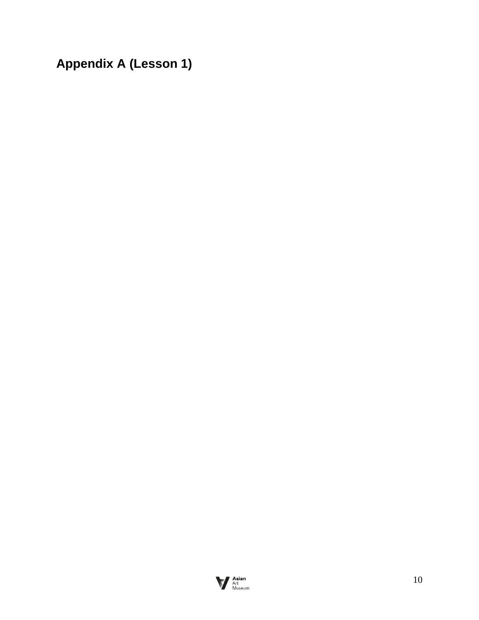<span id="page-9-0"></span>**Appendix A (Lesson 1)**

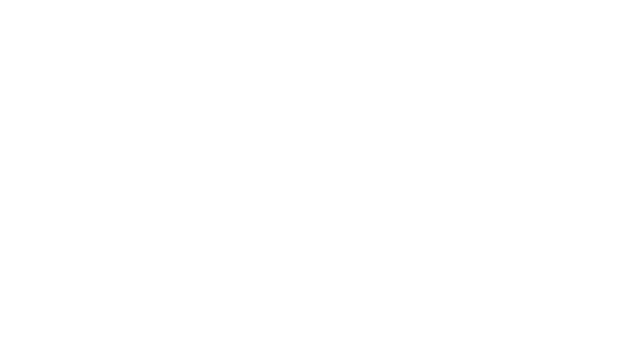of war.

His commitment was found through his exploration of his own Filipino American background ZKLOH LQ VFKRRO 3, >KDG@ UHPHPEHUHG ZKHQ, ZDV D VW about Filipino art history and he said there is no Filipino art history. And, lo and behold, I go up WR WKH OLEUDU\DQG RIFRXUVA+stanAsKuthVillaHndZenDen/dQnffllWDQ\'9L researched Pacific tribal art traditions and incorporated the terials and formats to his art. From his studies, he included the use of bones and feathers in medial installations, performance, and wordbased conceptual projects.

Through his selfnitiated ambitious exhibitionand information programs/illa was influential to many young artists His mostwell-known initiative was the 2010 exhibition, symposium, and website Rehistoricizing Abstract Expressionism in the San Francisco Bay Area,-1960s It attempted to rebalance the period canon by excavating overlooked contributions by women and artists of color. Similarly, Villa also organized Vorlds in Collision a series of exhibitions, symposia, curricula, publications, and web projects that address ulturalism, education, activism, and identity politics to build a more inclusive art world and art history ay, he is still remembered for his activism and contribution to Filipino American art.

Maturing, 1979.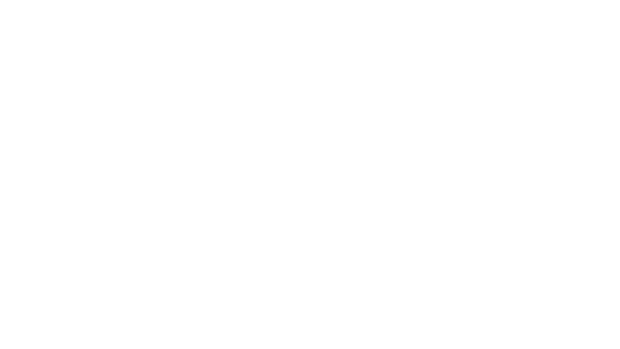Specialthanksto Mark DeanJohnsorfor his generosityand supportin the creation of this packet.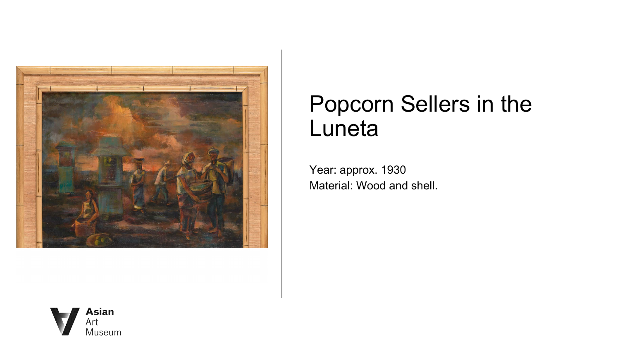## Popcorn Sellers in the Luneta

Year: approx. 1930 Material: Wood and shell.

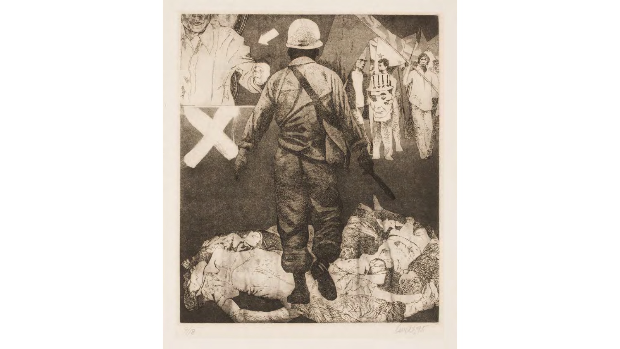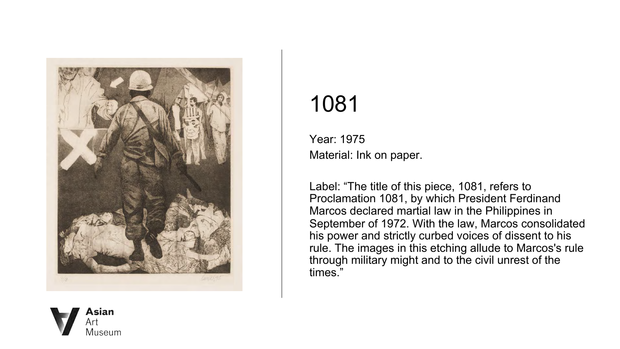



## 1081

Year: 1975 Material: Ink on paper.

Label: "The title of this piece, 1081, refers to Proclamation 1081, by which President Ferdinand Marcos declared martial law in the Philippines in September of 1972. With the law, Marcos consolidated his power and strictly curbed voices of dissent to his rule. The images in this etching allude to Marcos's rule through military might and to the civil unrest of the times."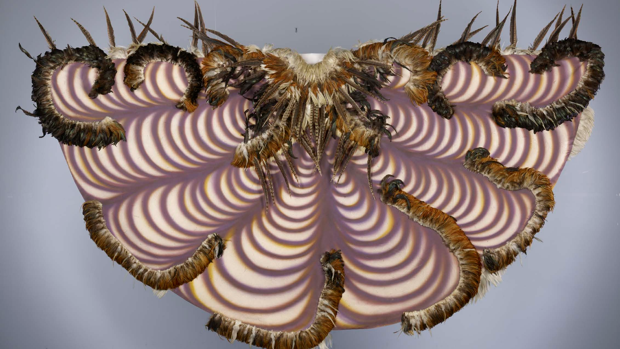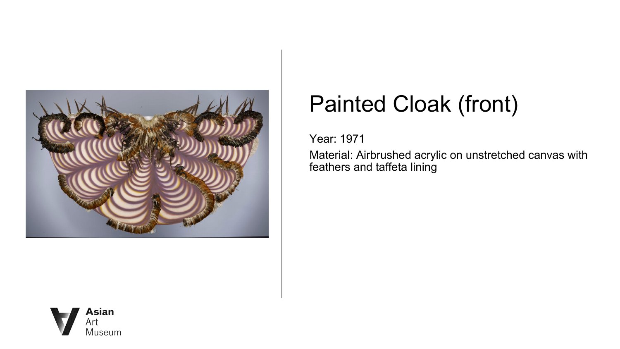

# Painted Cloak (front)

Year: 1971

Material: Airbrushed acrylic on unstretched canvas with feathers and taffeta lining